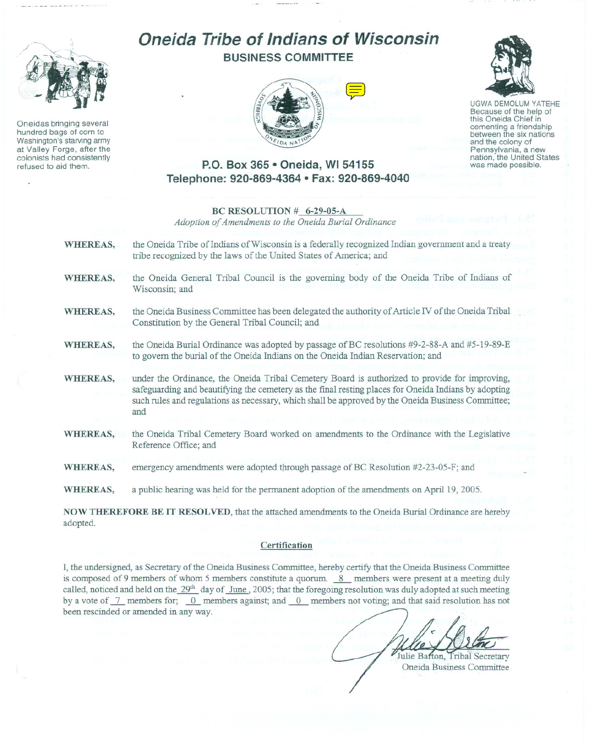

Oneidas bringing several hundred bags of corn to Washington's starving army at Valley Forge, after the colonists had consistently refused to aid them.

# **Oneida Tribe of Indians of Wisconsin BUSINESS COMMITTEE**



UGWA DEMOLUM YATEHE Because of the help of this Oneida Chief in cementing <sup>a</sup> friendship between the six nations and the colony of<br>Pennsylvania, a new nation, the United States was made possible.

#### **P.O. Box 365· Oneida, WI 54155 Telephone: 920-869-4364 • Fax: 920-869-4040**

|                 | BC RESOLUTION # 6-29-05-A<br>Adoption of Amendments to the Oneida Burial Ordinance                                                                                                                                                                                                                                 |  |
|-----------------|--------------------------------------------------------------------------------------------------------------------------------------------------------------------------------------------------------------------------------------------------------------------------------------------------------------------|--|
| <b>WHEREAS,</b> | the Oneida Tribe of Indians of Wisconsin is a federally recognized Indian government and a treaty<br>tribe recognized by the laws of the United States of America; and                                                                                                                                             |  |
| <b>WHEREAS,</b> | the Oneida General Tribal Council is the governing body of the Oneida Tribe of Indians of<br>Wisconsin; and                                                                                                                                                                                                        |  |
| <b>WHEREAS,</b> | the Oneida Business Committee has been delegated the authority of Article IV of the Oneida Tribal<br>Constitution by the General Tribal Council; and                                                                                                                                                               |  |
| WHEREAS,        | the Oneida Burial Ordinance was adopted by passage of BC resolutions #9-2-88-A and #5-19-89-E<br>to govern the burial of the Oneida Indians on the Oneida Indian Reservation; and                                                                                                                                  |  |
| <b>WHEREAS,</b> | under the Ordinance, the Oneida Tribal Cemetery Board is authorized to provide for improving,<br>safeguarding and beautifying the cemetery as the final resting places for Oneida Indians by adopting<br>such rules and regulations as necessary, which shall be approved by the Oneida Business Committee;<br>and |  |
| WHEREAS,        | the Oneida Tribal Cemetery Board worked on amendments to the Ordinance with the Legislative<br>Reference Office; and                                                                                                                                                                                               |  |
| WHEREAS,        | emergency amendments were adopted through passage of BC Resolution #2-23-05-F; and                                                                                                                                                                                                                                 |  |
| WHEREAS,        | a public hearing was held for the permanent adoption of the amendments on April 19, 2005.                                                                                                                                                                                                                          |  |
| adopted.        | NOW THEREFORE BE IT RESOLVED, that the attached amendments to the Oneida Burial Ordinance are hereby                                                                                                                                                                                                               |  |

**Certification**

I, the undersigned, as Secretary of the Oneida Business Committee, hereby certify that the Oneida Business Committee is composed of 9 members of whom 5 members constitute a quorum. <sup>8</sup> members were present at a meeting duly called, noticed and held on the 29<sup>th</sup> day of June, 2005; that the foregoing resolution was duly adopted at such meeting by a vote of  $\frac{7}{1}$  members for;  $\frac{0}{1}$  members against; and  $\frac{0}{1}$  members not voting; and that said resolution has not been rescinded or amended in any way.

Julie Bafton, Tribal Secretary Oneida Business Committee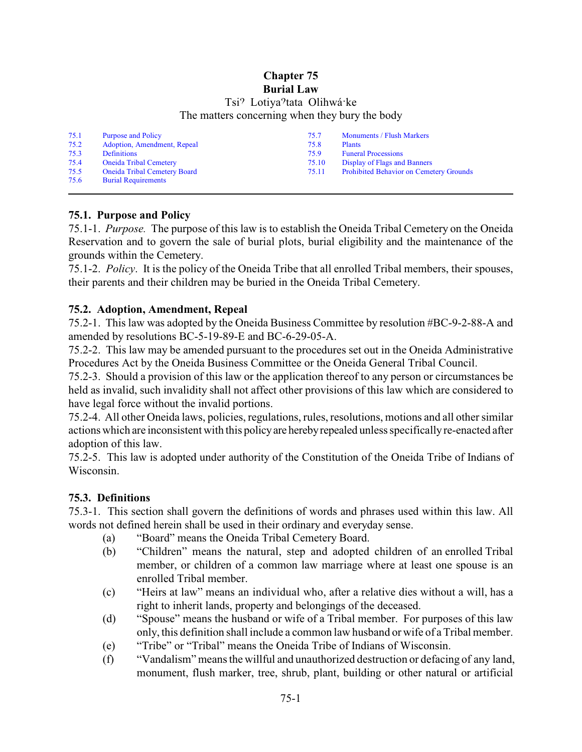### **Chapter 75 Burial Law**

# Tsi<sup>9</sup> Lotiya<sup>9</sup>tata Olihwá ke The matters concerning when they bury the body

| 75.1 | <b>Purpose and Policy</b>           | 75.7  | <b>Monuments / Flush Markers</b>               |
|------|-------------------------------------|-------|------------------------------------------------|
| 75.2 | Adoption, Amendment, Repeal         | 75.8  | <b>Plants</b>                                  |
| 75.3 | <b>Definitions</b>                  | 75.9  | <b>Funeral Processions</b>                     |
| 75.4 | <b>Oneida Tribal Cemetery</b>       | 75.10 | Display of Flags and Banners                   |
| 75.5 | <b>Oneida Tribal Cemetery Board</b> | 75.11 | <b>Prohibited Behavior on Cemetery Grounds</b> |
| 75.6 | <b>Burial Requirements</b>          |       |                                                |

# <span id="page-1-0"></span>**75.1. Purpose and Policy**

75.1-1. *Purpose.* The purpose of this law is to establish the Oneida Tribal Cemetery on the Oneida Reservation and to govern the sale of burial plots, burial eligibility and the maintenance of the grounds within the Cemetery.

75.1-2. *Policy*. It is the policy of the Oneida Tribe that all enrolled Tribal members, their spouses, their parents and their children may be buried in the Oneida Tribal Cemetery.

# <span id="page-1-1"></span>**75.2. Adoption, Amendment, Repeal**

75.2-1. This law was adopted by the Oneida Business Committee by resolution #BC-9-2-88-A and amended by resolutions BC-5-19-89-E and BC-6-29-05-A.

75.2-2. This law may be amended pursuant to the procedures set out in the Oneida Administrative Procedures Act by the Oneida Business Committee or the Oneida General Tribal Council.

75.2-3. Should a provision of this law or the application thereof to any person or circumstances be held as invalid, such invalidity shall not affect other provisions of this law which are considered to have legal force without the invalid portions.

75.2-4. All other Oneida laws, policies, regulations, rules, resolutions, motions and all other similar actions which are inconsistent with this policy are hereby repealed unless specifically re-enacted after adoption of this law.

75.2-5. This law is adopted under authority of the Constitution of the Oneida Tribe of Indians of Wisconsin.

# <span id="page-1-2"></span>**75.3. Definitions**

75.3-1. This section shall govern the definitions of words and phrases used within this law. All words not defined herein shall be used in their ordinary and everyday sense.

- (a) "Board" means the Oneida Tribal Cemetery Board.
- (b) "Children" means the natural, step and adopted children of an enrolled Tribal member, or children of a common law marriage where at least one spouse is an enrolled Tribal member.
- (c) "Heirs at law" means an individual who, after a relative dies without a will, has a right to inherit lands, property and belongings of the deceased.
- (d) "Spouse" means the husband or wife of a Tribal member. For purposes of this law only, this definition shall include a common law husband or wife of a Tribal member.
- (e) "Tribe" or "Tribal" means the Oneida Tribe of Indians of Wisconsin.
- (f) "Vandalism" means the willful and unauthorized destruction or defacing of any land, monument, flush marker, tree, shrub, plant, building or other natural or artificial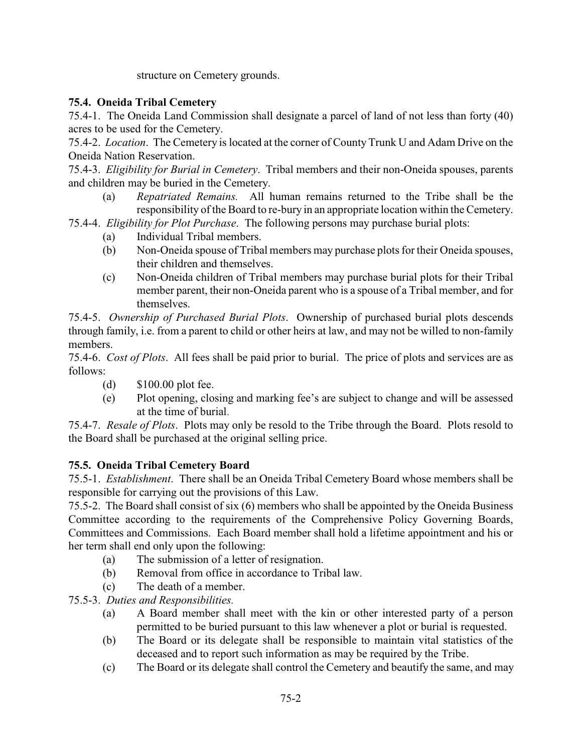structure on Cemetery grounds.

# <span id="page-2-0"></span>**75.4. Oneida Tribal Cemetery**

75.4-1. The Oneida Land Commission shall designate a parcel of land of not less than forty (40) acres to be used for the Cemetery.

75.4-2. *Location*. The Cemetery is located at the corner of County Trunk U and Adam Drive on the Oneida Nation Reservation.

75.4-3. *Eligibility for Burial in Cemetery*. Tribal members and their non-Oneida spouses, parents and children may be buried in the Cemetery.

(a) *Repatriated Remains.* All human remains returned to the Tribe shall be the responsibility of the Board to re-bury in an appropriate location within the Cemetery.

75.4-4. *Eligibility for Plot Purchase*. The following persons may purchase burial plots:

- (a) Individual Tribal members.
- (b) Non-Oneida spouse of Tribal members may purchase plots for their Oneida spouses, their children and themselves.
- (c) Non-Oneida children of Tribal members may purchase burial plots for their Tribal member parent, their non-Oneida parent who is a spouse of a Tribal member, and for themselves.

75.4-5. *Ownership of Purchased Burial Plots*. Ownership of purchased burial plots descends through family, i.e. from a parent to child or other heirs at law, and may not be willed to non-family members.

75.4-6. *Cost of Plots*. All fees shall be paid prior to burial. The price of plots and services are as follows:

- (d) \$100.00 plot fee.
- (e) Plot opening, closing and marking fee's are subject to change and will be assessed at the time of burial.

75.4-7. *Resale of Plots*. Plots may only be resold to the Tribe through the Board. Plots resold to the Board shall be purchased at the original selling price.

### <span id="page-2-1"></span>**75.5. Oneida Tribal Cemetery Board**

75.5-1. *Establishment*. There shall be an Oneida Tribal Cemetery Board whose members shall be responsible for carrying out the provisions of this Law.

75.5-2. The Board shall consist of six (6) members who shall be appointed by the Oneida Business Committee according to the requirements of the Comprehensive Policy Governing Boards, Committees and Commissions. Each Board member shall hold a lifetime appointment and his or her term shall end only upon the following:

- (a) The submission of a letter of resignation.
- (b) Removal from office in accordance to Tribal law.
- (c) The death of a member.
- 75.5-3. *Duties and Responsibilities.* 
	- (a) A Board member shall meet with the kin or other interested party of a person permitted to be buried pursuant to this law whenever a plot or burial is requested.
	- (b) The Board or its delegate shall be responsible to maintain vital statistics of the deceased and to report such information as may be required by the Tribe.
	- (c) The Board or its delegate shall control the Cemetery and beautify the same, and may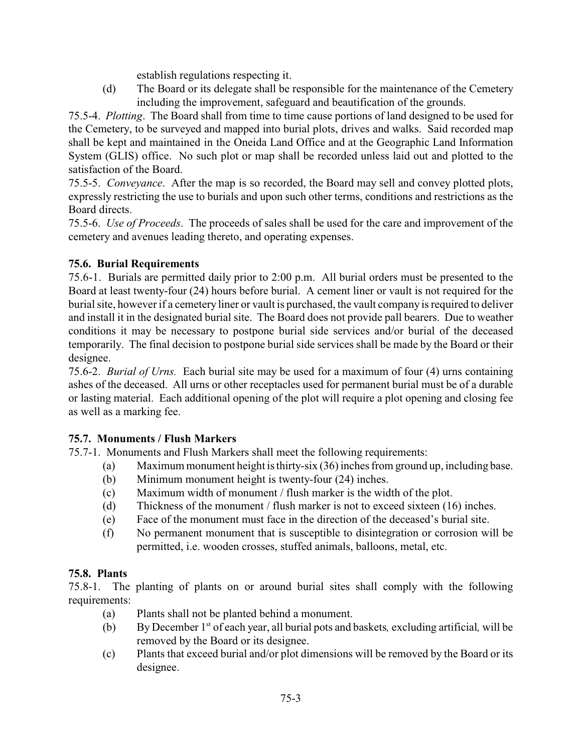establish regulations respecting it.

(d) The Board or its delegate shall be responsible for the maintenance of the Cemetery including the improvement, safeguard and beautification of the grounds.

75.5-4. *Plotting*. The Board shall from time to time cause portions of land designed to be used for the Cemetery, to be surveyed and mapped into burial plots, drives and walks. Said recorded map shall be kept and maintained in the Oneida Land Office and at the Geographic Land Information System (GLIS) office. No such plot or map shall be recorded unless laid out and plotted to the satisfaction of the Board.

75.5-5. *Conveyance*. After the map is so recorded, the Board may sell and convey plotted plots, expressly restricting the use to burials and upon such other terms, conditions and restrictions as the Board directs.

75.5-6. *Use of Proceeds*. The proceeds of sales shall be used for the care and improvement of the cemetery and avenues leading thereto, and operating expenses.

# <span id="page-3-0"></span>**75.6. Burial Requirements**

75.6-1. Burials are permitted daily prior to 2:00 p.m. All burial orders must be presented to the Board at least twenty-four (24) hours before burial. A cement liner or vault is not required for the burial site, however if a cemetery liner or vault is purchased, the vault company is required to deliver and install it in the designated burial site. The Board does not provide pall bearers. Due to weather conditions it may be necessary to postpone burial side services and/or burial of the deceased temporarily. The final decision to postpone burial side services shall be made by the Board or their designee.

75.6-2. *Burial of Urns.* Each burial site may be used for a maximum of four (4) urns containing ashes of the deceased. All urns or other receptacles used for permanent burial must be of a durable or lasting material. Each additional opening of the plot will require a plot opening and closing fee as well as a marking fee.

# <span id="page-3-1"></span>**75.7. Monuments / Flush Markers**

75.7-1. Monuments and Flush Markers shall meet the following requirements:

- (a) Maximum monument height is thirty-six (36) inches from ground up, including base.
- (b) Minimum monument height is twenty-four (24) inches.
- (c) Maximum width of monument / flush marker is the width of the plot.
- (d) Thickness of the monument / flush marker is not to exceed sixteen (16) inches.
- (e) Face of the monument must face in the direction of the deceased's burial site.
- (f) No permanent monument that is susceptible to disintegration or corrosion will be permitted, i.e. wooden crosses, stuffed animals, balloons, metal, etc.

### <span id="page-3-2"></span>**75.8. Plants**

75.8-1. The planting of plants on or around burial sites shall comply with the following requirements:

- (a) Plants shall not be planted behind a monument.
- (b) By December 1<sup>st</sup> of each year, all burial pots and baskets, excluding artificial, will be removed by the Board or its designee.
- (c) Plants that exceed burial and/or plot dimensions will be removed by the Board or its designee.